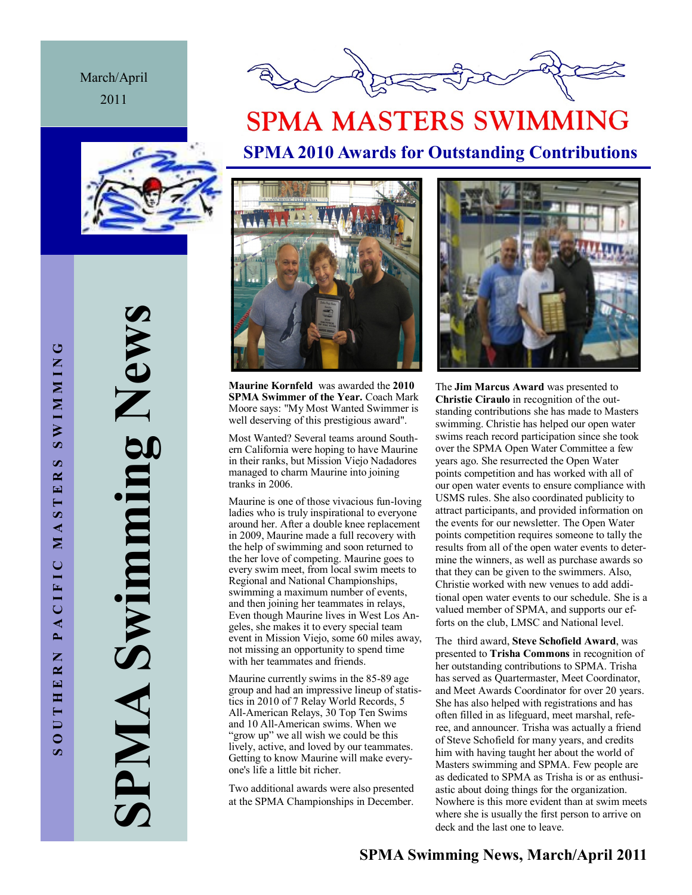March/April 2011



# **SPMA MASTERS SWIMMING SPMA 2010 Awards for Outstanding Contributions**





**Maurine Kornfeld** was awarded the **2010 SPMA Swimmer of the Year.** Coach Mark Moore says: "My Most Wanted Swimmer is well deserving of this prestigious award".

Most Wanted? Several teams around Southern California were hoping to have Maurine in their ranks, but Mission Viejo Nadadores managed to charm Maurine into joining tranks in 2006.

Maurine is one of those vivacious fun-loving ladies who is truly inspirational to everyone around her. After a double knee replacement in 2009, Maurine made a full recovery with the help of swimming and soon returned to the her love of competing. Maurine goes to every swim meet, from local swim meets to Regional and National Championships, swimming a maximum number of events, and then joining her teammates in relays, Even though Maurine lives in West Los Angeles, she makes it to every special team event in Mission Viejo, some 60 miles away, not missing an opportunity to spend time with her teammates and friends.

Maurine currently swims in the 85-89 age group and had an impressive lineup of statistics in 2010 of 7 Relay World Records, 5 All-American Relays, 30 Top Ten Swims and 10 All-American swims. When we "grow up" we all wish we could be this lively, active, and loved by our teammates. Getting to know Maurine will make everyone's life a little bit richer.

Two additional awards were also presented at the SPMA Championships in December.



The **Jim Marcus Award** was presented to **Christie Ciraulo** in recognition of the outstanding contributions she has made to Masters swimming. Christie has helped our open water swims reach record participation since she took over the SPMA Open Water Committee a few years ago. She resurrected the Open Water points competition and has worked with all of our open water events to ensure compliance with USMS rules. She also coordinated publicity to attract participants, and provided information on the events for our newsletter. The Open Water points competition requires someone to tally the results from all of the open water events to determine the winners, as well as purchase awards so that they can be given to the swimmers. Also, Christie worked with new venues to add additional open water events to our schedule. She is a valued member of SPMA, and supports our efforts on the club, LMSC and National level.

The third award, **Steve Schofield Award**, was presented to **Trisha Commons** in recognition of her outstanding contributions to SPMA. Trisha has served as Quartermaster, Meet Coordinator, and Meet Awards Coordinator for over 20 years. She has also helped with registrations and has often filled in as lifeguard, meet marshal, referee, and announcer. Trisha was actually a friend of Steve Schofield for many years, and credits him with having taught her about the world of Masters swimming and SPMA. Few people are as dedicated to SPMA as Trisha is or as enthusiastic about doing things for the organization. Nowhere is this more evident than at swim meets where she is usually the first person to arrive on deck and the last one to leave.

**SPMA Swimming News, March/April 2011**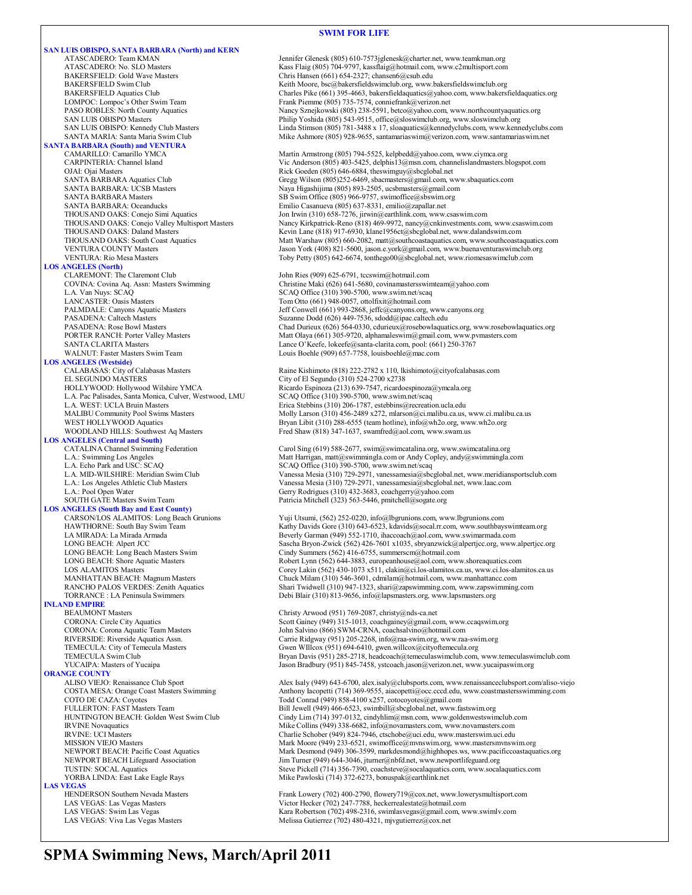#### **SWIM FOR LIFE**

**SAN LUIS OBISPO, SANTA BARBARA (North) and KERN** ATASCADERO: Team KMAN Jennifer Glenesk (805) 610-7573jglenesk@charter.net, www.teamkman.org ATASCADERO: No. SLO Masters Kass Flaig (805) 704-9797, kassflaig@hotmail.com, www.c2multisport.com BAKERSFIELD: Gold Wave Masters Chris Hansen (661) 654-2327; chansen 6@csub.edu<br>BAKERSFIELD Swim Club Chris Hansen Chris Hansen (661) 654-2327; chansen 6@csub.edu BAKERSFIELD Swim Club<br>BAKERSFIELD Aquatics Club Charles Pike (661) 395-4663, bakersfieldsaquatics@yahoo.com, www.bakersf BAKERSFIELD Aquatics Club<br>
Charles Pike (661) 395-4663, bakersfieldaquatics@yahoo.com, www.bakersfieldaquatics.org<br>
Frank Piemme (805) 735-7574, conniefrank@yerizon.net LOMPOC: Lompoc's Other Swim Team Frank Piemme (805) 735-7574, conniefrank @verizon.net<br>
PASO ROBLES: North County Aquatics Namey Sznejkowski (805) 238-5591, betco@yahoo.com, PASO ROBLES: North County Aquatics Nancy Sznejkowski (805) 238-5591, betco@yahoo.com, www.northcountyaquatics.org<br>Philip Yoshida (805) 543-9515, office@sloswinclub.org, www.sloswinclub.org SAN LUIS OBISPO Masters **SAN LUIS OBISPO Masters** Philip Yoshida (805) 543-9515, office@sloswimclub.org, www.sloswimclub.org<br>Philip Yoshida (805) 781-3488 x 17, sloaquatics@kennedyclubs.com, www.kenn SAN LUIS OBISPO: Kennedy Club Masters Linda Stimson (805) 781-3488 x 17, sloaquatics@kennedyclubs.com, www.kennedyclubs.com<br>SANTA MARIA: Santa Maria Swim Club Mike Ashmore (805) 928-9655, santamariaswim@verizon.com, www.sa Mike Ashmore (805) 928-9655, santamariaswim@verizon.com, www.santamariaswim.net **SANTA BARBARA (South) and VENTURA** Martin Armstrong (805) 794-5525, kelpbedd@yahoo.com, www.ciymca.org CARPINTERIA: Channel Island Vic Anderson (805) 403-5425, delphis13@msn.com, channelislandmasters.blogspot.com OJAI: Ojai Masters The Theorem and The Rick Goeden (805) 646-6884, theswimguy@sbcglobal.net<br>
SANTA BARBARA Aquatics Club<br>
Gregg Wilson (805)252-6469, sbacmasters@gmail.com, w SANTA BARBARA Aquatics Club Gregg Wilson (805)252-6469, sbacmasters@gmail.com, www.sbaquatics.com<br>SANTA BARBARA: UCSB Masters Mass and Maya Higashijima (805) 893-2505, ucsbmasters@gmail.com SANTA BARBARA: UCSB Masters Naya Higashijima (805) 893-2505, ucsbmasters@gmail.com<br>SANTA BARBARA Masters SANTA SES Swim Office (805) 966-9757, swimoffice@sbswim.org SANTA BARBARA Masters SB Swim Office (805) 966-9757, swimoffice@sbswim.org<br>SANTA BARBARA: Oceanducks Emilio Casanueva (805) 637-8331, emilio@zapallar.net SANTA BARBARA: Oceanducks Emilio Casanueva (805) 637-8331, emilio@zapallar.net THOUSAND OAKS: Conejo Simi Aquatics Jon Irwin (310) 658-7276, jirwin@earthlink.com, www.csaswim.com<br>THOUSAND OAKS: Conejo Valley Multisport Masters Nancy Kirkpatrick-Reno (818) 469-9972, nancy@enkinvestments.com THOUSAND OAKS: Daland Masters Kevin Lane (818) 917-6930, klane1956ct@sbcglobal.net, www.dalandswim.com<br>THOUSAND OAKS: South Coast Aquatics Matt Warshaw (805) 660-2082, matt@southcoastaquatics.com, www.southcoasta VENTURA COUNTY Masters Jason York (408) 821-5600, jason.e.york@gmail.com, www.buenaventuraswimclub.org VENTURA: Rio Mesa Masters Toby Petty (805) 642-6674, tonthego00@sbcglobal.net, www.riomesaswimclub.com **LOS ANGELES (North)** CLAREMONT: The Claremont Club John Ries (909) 625-6791, tccswim@hotmail.com<br>COVINA: Covina Aq. Assn: Masters Swimming Christine Maki (626) 641-5680, covinamastersswi COVINA: Covina Aq. Assn: Masters Swimming Christine Maki (626) 641-5680, covinamastersswimteam@yahoo.com L.A. Van Nuys: SCAQ Office (310) 390-5700, www.swim.net/scaq<br>
LANCASTER: Oasis Masters
SCAQ Office (310) 390-5700, www.swim.net/scaq LANCASTER: Oasis Masters Tom Otto (661) 948-0057, ottolfixit@hotmail.com<br>
PALMDALE: Canyons Aquatic Masters Tom Masters Jeff Conwell (661) 993-2868, jeffc@canyons.org, PALMDALE: Canyons Aquatic Masters Jeff Conwell (661) 993-2868, jeffc@canyons.org, www.canyons.org<br>PASADENA: Caltech Masters Jeff Conwell (661) 993-2868, jeffc@canyons.org, www.canyons.org PASADENA: Caltech Masters Suzanne Dodd (626) 449-7536, sdodd@ipac.caltech.edu<br>PASADENA: Rose Bowl Masters Chad Durieux (626) 564-0330, cdurieux@rosebowlaqua PORTER RANCH: Porter Valley Masters Matt Olaya (661) 305-9720, alphamaleswim@gmail.com, www.pvmasters.com SANTA CLARITA Masters Lance O'Keefe, lokeefe@santa-clarita.com, pool: (661) 250-3767 WALNUT: Faster Masters Swim Team Louis Boehle (909) 657-7758, louisboehle@mac.com **LOS ANGELES (Westside)** CALABASAS: City of Calabasas Masters Raine Kishimoto (818) 222-2782 x 110, lkishimoto@cityofcalabasas.com<br>EL SEGUNDO MASTERS City of El Segundo (310) 524-2700 x2738 EL SEGUNDO MASTERS<br>
HOLLYWOOD: Hollywood Wilshire YMCA<br>
Ricardo Espinoza (213) 639-7547, ricardo L.A. Pac Palisades, Santa Monica, Culver, Westwood, LMU L.A. WEST: UCLA Bruin Masters MALIBU Community Pool Swims Masters Molly Larson (310) 456-2489 x272, mlarson@ci.malibu.ca.us, www.ci.malibu.ca.us<br>WEST HOLLYWOOD Aquatics Molly Larson (310) 288-6555 (team hotline), info@wh2o.org, www.wh2o.org WOODLAND HILLS: Southwest Aq Masters Fred Shaw (818) 347-1637, swamfred@aol.com, www.swam.us **LOS ANGELES (Central and South)** CATALINA Channel Swimming Federation Carol Sing (619) 588-2677, swim@swimcatalina.org, www.swimcatalina.org<br>Carolynaming Los Angeles Matter of Matt Harrigan, matt@swimmingla.com or Andy Copley, andy@swimmingla.com L.A. Echo Park and USC: SCAQ SCAQ Office (310) 390-5700, www.swim.net/scaq<br>
L.A. MID-WILSHIRE: Meridian Swim Club Vanessa Mesia (310) 729-2971, vanessamesia@sbc L.A.: Los Angeles Athletic Club Masters Vanessa Mesia (310) 729-2971, vanessamesia@sbcglobal.net, www.laac.com<br>L.A.: Pool Open Water General Company of Cerry Rodrigues (310) 432-3683, coachgerry@yahoo.com SOUTH GATE Masters Swim Team Patricia Mitchell (323) 563-5446, pmitchell@sogate.org **LOS ANGELES (South Bay and East County)** CARSON/LOS ALAMITOS: Long Beach Grunions Yuji Utsumi, (562) 252-0220, info@lbgrunions.com, www.lbgrunions.com LA MIRADA: La Mirada Armada <br>
LONG BEACH: Alpert JCC Sascha Bryon-Zwick (562) 426-7601 x1035, sbryanzwick@alpertjcc.org, www. LONG BEACH: Long Beach Masters Swim Cindy Summers (562) 416-6755, summers cm@hotmail.com<br>
LONG BEACH: Shore Aquatic Masters Companies (562) 644-3883, europeanhouse@aol.com, www LONG BEACH: Shore Aquatic Masters <br>
LOS ALAMITOS Masters Corey Lakin (562) 430-1073 x511, clakin@ci.los-alamitos.ca.us, www.ci.los-alam MANHATTAN BEACH: Magnum Masters Chuck Milam (310) 546-3601, cdmilam@hotmail.com, www.manhattancc.com<br>RANCHO PALOS VERDES: Zenith Aquatics Shari Twidwell (310) 947-1323, shari@zapswimming.com, www.zapswimming RANCHO PALOS VERDES: Zenith Aquatics Shari Twidwell (310) 947-1323, shari@zapswimming.com, www.zapswimming.com<br>TORRANCE : LA Peninsula Swimmers Debi Blair (310) 813-9656, info@lapsmasters.org, www.lapsmasters.org **INLAND EMPIRE**<br>**BEAUMONT Masters** CORONA: Circle City Aquatics Scott Gainey (949) 315-1013, coachgainey@gmail.com, www.ccaqswim.org<br>CORONA: Corona Aquatic Team Masters Scott Gainey (966) SWM-CRNA, coachsalvino@hotmail.com CORONA: Corona Aquatic Team Masters John Salvino (866) SWM-CRNA, coachsalvino @hotmail.com<br>RIVERSIDE: Riverside Aquatics Assn. Carrie Ridgway (951) 205-2268, info@raa-swim.org, www.raa RIVERSIDE: Riverside Aquatics Assn.<br>
TEMECULA: City of Temecula Masters<br>
Carrie Ridgway (951) 694-6410, gwen.willcox@cityoftemecula.org TEMECULA: City of Temecula Masters Gwen WIllcox (951) 694-6410, gwen willcox (2010)<br>TEMECULA Swim Club Guen Club Guen Bryan Davis (951) 285-2718, headcoach@temeculaswimclub.com, **ORANGE COUNTY**<br>ALISO VIEJO: Renaissance Club Sport FULLERTON: FAST Masters Team Bill Jewell (949) 466-6523, swimbill@sbcglobal.net, www.fastswim.org HUNTINGTON BEACH: Golden West Swim Club Cindy Lim (714) 397-0132, cindyhlim@msn.com, www.goldenwestswimclub.com IRVINE Novaquatics<br>
IRVINE: UCI Masters<br>
IRVINE: UCI Masters<br>
Charlie Schober (949) 324-7946, ctschobe@uci.edu, www.masters.com IRVINE: UCI Masters **Charlie Schober (949) 824-7946**, ctschobe@uci.edu, www.masterswim.uci.edu<br>MISSION VIEJO Masters **Charlie Schoper (949) 233-6521**, swimoffice@mvnswim.org, www.mastersmvnsw MISSION VIEJO Masters Mark Moore (949) 233-6521, swimoffice@mvnswim.org, www.mastersmvnswim.org<br>Mark Desmond (949) 306-3599, markdesmond@highhopes.ws, www.pacificcoastaqua NEWPORT BEACH Lifeguard Association Jim Turner (949) 644-3046, jturner@nbfd.net, www.newportlifeguard.org<br>TUSTIN: SOCAL Aquatics com, www.socal TUSTIN: SOCAL Aquatics Comparent Steve Pickell (714) 356-7390, coachsteve@socalaquatics.com, www.socalaquatics.com<br>TORBA LINDA: East Lake Eagle Rays Mike Pawloski (714) 372-6273, bonuspak@earthlink.net **LAS VEGAS**<br> **HENDERSON Southern Nevada Masters** HENDERSON Southern Nevada Masters Frank Lowery (702) 400-2790, flowery 19@cox.net, www.lowerysmultisport.com<br>
LAS VEGAS: Las Vegas Masters Frank Lowery (702) 247-7788, heckerrealestate@hotmail.com LAS VEGAS: Las Vegas Masters victor Hecker (702) 247-7788, heckerrealestate@hotmail.com<br>LAS VEGAS: Swim Las Vegas victor victor victor victor (702) 498-2316. swimlasvegas@gmail.com

THOUSAND OAKS: Conejo Valley Multisport Masters Nancy Kirkpatrick-Reno (818) 469-9972, nancy@cnkinvestments.com, www.csaswim.com<br>THOUSAND OAKS: Daland Masters Kevin Lane (818) 917-6930, klane1956ct@sbcglobal.net, www.dalan Matt Warshaw (805) 660-2082, matt@southcoastaquatics.com, www.southcoastaquatics.com Chad Durieux (626) 564-0330, cdurieux@rosebowlaquatics.org, www.rosebowlaquatics.org Ricardo Espinoza (213) 639-7547, ricardoespinoza@ymcala.org<br>SCAQ Office (310) 390-5700, www.swim.net/scaq Erica Stebbins (310) 206-1787, estebbins@recreation.ucla.edu Bryan Libit (310) 288-6555 (team hotline), info@wh2o.org, www.wh2o.org L.A. MID-WILSHIRE: Meridian Swim Club Vanessa Mesia (310) 729-2971, vanessamesia@sbcglobal.net, www.meridiansportsclub.com<br>L.A.: Los Angeles Athletic Club Masters Vanessamesia (310) 729-2971, vanessamesia@sbcglobal.net, ww Gerry Rodrigues (310) 432-3683, coachgerry@yahoo.com HAWTHORNE: South Bay Swim Team Kathy Davids Gore (310) 643-6523, kdavids@socal.rr.com, www.southbayswimteam.org<br>LA MIRADA: La Mirada Armada LONG BEACH: Alpert JCC<br>
LONG BEACH: Long Beach Masters Swim<br>
Cindy Summers (562) 416-6755. summerscm@hotmail.com<br>
Cindy Summers (562) 416-6755. summerscm@hotmail.com LOS ALAMITOS Masters Corey Lakin (562) 430-1073 x511, clakin@ci.los-alamitos.ca.us, www.ci.los-alamitos.ca.us Debi Blair (310) 813-9656, info@lapsmasters.org, www.lapsmasters.org Christy Arwood (951) 769-2087, christy@nds-ca.net TEMECULA Swim Club Bryan Davis (951) 285-2718, headcoach@temeculaswimclub.com, www.temeculaswimclub.com<br>TucAIPA: Masters of Yucaipa and Branch Branch Branch Branch (951) 845-7458, ystcoach.jason@verizon.net, www.yucaipaswi Jason Bradbury (951) 845-7458, ystcoach.jason@verizon.net, www.yucaipaswim.org Alex Isaly (949) 643-6700, alex.isaly@clubsports.com, www.renaissanceclubsport.com/aliso-viejo COSTA MESA: Orange Coast Masters Swimming Anthony Iacopetti (714) 369-9555, aiacopetti@occ.cccd.edu, www.coastmastersswimming.com<br>COTO DE CAZA: Coyotes Todd Conrad (949) 858-4100 x257, cotocoyotes@gmail.com Todd Conrad (949) 858-4100 x257, cotocoyotes@gmail.com NEWPORT BEACH: Pacific Coast Aquatics Mark Desmond (949) 306-3599, markdesmond@highhopes.ws, www.pacificcoastaquatics.org<br>MEWPORT BEACH Lifeguard Association Mark Desmond (949) 644-3046, jturner@nbfd.net, www.newportlifegu Mike Pawloski (714) 372-6273, bonuspak@earthlink.net

LAS VEGAS: Swim Las Vegas <br>
LAS VEGAS: Viva Las Vegas Masters<br>
Melissa Gutierrez (702) 480-4321, mjvgutierrez@cox.net Melissa Gutierrez (702) 480-4321, mjvgutierrez@cox.net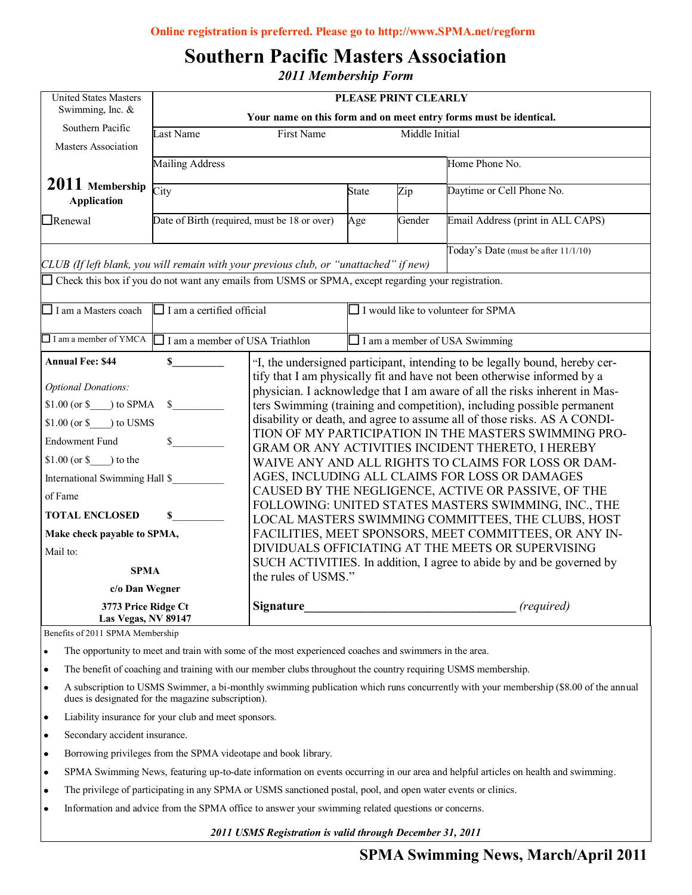# **Southern Pacific Masters Association**

*2011 Membership Form*

| Swimming, Inc. $&$<br>Southern Pacific<br><b>Masters Association</b><br>2011 Membership<br>City<br><b>Application</b><br>$\Box$ Renewal<br>CLUB (If left blank, you will remain with your previous club, or "unattached" if new) | Last Name<br><b>Mailing Address</b>                      | First Name<br>Date of Birth (required, must be 18 or over)                                                 | State<br>Age                                                           | Middle Initial<br>Zip<br>Gender      | Your name on this form and on meet entry forms must be identical.<br>Home Phone No.<br>Daytime or Cell Phone No.<br>Email Address (print in ALL CAPS)<br>Today's Date (must be after 11/1/10) |  |  |
|----------------------------------------------------------------------------------------------------------------------------------------------------------------------------------------------------------------------------------|----------------------------------------------------------|------------------------------------------------------------------------------------------------------------|------------------------------------------------------------------------|--------------------------------------|-----------------------------------------------------------------------------------------------------------------------------------------------------------------------------------------------|--|--|
|                                                                                                                                                                                                                                  |                                                          |                                                                                                            |                                                                        |                                      |                                                                                                                                                                                               |  |  |
|                                                                                                                                                                                                                                  |                                                          |                                                                                                            |                                                                        |                                      |                                                                                                                                                                                               |  |  |
|                                                                                                                                                                                                                                  |                                                          |                                                                                                            |                                                                        |                                      |                                                                                                                                                                                               |  |  |
|                                                                                                                                                                                                                                  |                                                          |                                                                                                            |                                                                        |                                      |                                                                                                                                                                                               |  |  |
|                                                                                                                                                                                                                                  |                                                          |                                                                                                            |                                                                        |                                      |                                                                                                                                                                                               |  |  |
|                                                                                                                                                                                                                                  |                                                          |                                                                                                            |                                                                        |                                      |                                                                                                                                                                                               |  |  |
|                                                                                                                                                                                                                                  |                                                          |                                                                                                            |                                                                        |                                      |                                                                                                                                                                                               |  |  |
| Check this box if you do not want any emails from USMS or SPMA, except regarding your registration.                                                                                                                              |                                                          |                                                                                                            |                                                                        |                                      |                                                                                                                                                                                               |  |  |
| I am a Masters coach                                                                                                                                                                                                             | $\Box$ I am a certified official                         |                                                                                                            |                                                                        | I would like to volunteer for SPMA   |                                                                                                                                                                                               |  |  |
| $\Box$ I am a member of YMCA                                                                                                                                                                                                     | $\Box$ I am a member of USA Triathlon                    |                                                                                                            |                                                                        | $\Box$ I am a member of USA Swimming |                                                                                                                                                                                               |  |  |
| <b>Annual Fee: \$44</b>                                                                                                                                                                                                          | $\mathbf S$                                              |                                                                                                            |                                                                        |                                      | "I, the undersigned participant, intending to be legally bound, hereby cer-                                                                                                                   |  |  |
|                                                                                                                                                                                                                                  |                                                          |                                                                                                            |                                                                        |                                      | tify that I am physically fit and have not been otherwise informed by a                                                                                                                       |  |  |
| <b>Optional Donations:</b>                                                                                                                                                                                                       |                                                          |                                                                                                            |                                                                        |                                      | physician. I acknowledge that I am aware of all the risks inherent in Mas-                                                                                                                    |  |  |
| $$1.00 (or $$ ) to SPMA                                                                                                                                                                                                          | $\mathbb{S}$                                             |                                                                                                            | ters Swimming (training and competition), including possible permanent |                                      |                                                                                                                                                                                               |  |  |
| $$1.00$ (or $$$ ) to USMS                                                                                                                                                                                                        |                                                          | disability or death, and agree to assume all of those risks. AS A CONDI-                                   |                                                                        |                                      |                                                                                                                                                                                               |  |  |
| \$<br><b>Endowment Fund</b>                                                                                                                                                                                                      |                                                          | TION OF MY PARTICIPATION IN THE MASTERS SWIMMING PRO-<br>GRAM OR ANY ACTIVITIES INCIDENT THERETO, I HEREBY |                                                                        |                                      |                                                                                                                                                                                               |  |  |
| $$1.00 (or $$ ) to the                                                                                                                                                                                                           |                                                          |                                                                                                            | WAIVE ANY AND ALL RIGHTS TO CLAIMS FOR LOSS OR DAM-                    |                                      |                                                                                                                                                                                               |  |  |
| International Swimming Hall \$                                                                                                                                                                                                   |                                                          | AGES, INCLUDING ALL CLAIMS FOR LOSS OR DAMAGES                                                             |                                                                        |                                      |                                                                                                                                                                                               |  |  |
| of Fame                                                                                                                                                                                                                          |                                                          | CAUSED BY THE NEGLIGENCE, ACTIVE OR PASSIVE, OF THE                                                        |                                                                        |                                      |                                                                                                                                                                                               |  |  |
|                                                                                                                                                                                                                                  |                                                          |                                                                                                            |                                                                        |                                      | FOLLOWING: UNITED STATES MASTERS SWIMMING, INC., THE                                                                                                                                          |  |  |
| <b>TOTAL ENCLOSED</b>                                                                                                                                                                                                            | S.<br>LOCAL MASTERS SWIMMING COMMITTEES, THE CLUBS, HOST |                                                                                                            |                                                                        |                                      |                                                                                                                                                                                               |  |  |
| Make check payable to SPMA,                                                                                                                                                                                                      |                                                          |                                                                                                            | FACILITIES, MEET SPONSORS, MEET COMMITTEES, OR ANY IN-                 |                                      |                                                                                                                                                                                               |  |  |
| Mail to:                                                                                                                                                                                                                         |                                                          |                                                                                                            | DIVIDUALS OFFICIATING AT THE MEETS OR SUPERVISING                      |                                      |                                                                                                                                                                                               |  |  |
| <b>SPMA</b><br>c/o Dan Wegner                                                                                                                                                                                                    |                                                          | SUCH ACTIVITIES. In addition, I agree to abide by and be governed by                                       |                                                                        |                                      |                                                                                                                                                                                               |  |  |
|                                                                                                                                                                                                                                  |                                                          | the rules of USMS."                                                                                        |                                                                        |                                      |                                                                                                                                                                                               |  |  |
| 3773 Price Ridge Ct<br>Las Vegas, NV 89147                                                                                                                                                                                       |                                                          | <b>Signature</b>                                                                                           |                                                                        | (required)                           |                                                                                                                                                                                               |  |  |

Benefits of 2011 SPMA Membership

The opportunity to meet and train with some of the most experienced coaches and swimmers in the area.  $\bullet$ 

The benefit of coaching and training with our member clubs throughout the country requiring USMS membership.

- The subscription to USMS SWIMMet, a or monthly swimming part dues is designated for the magazine subscription). A subscription to USMS Swimmer, a bi-monthly swimming publication which runs concurrently with your membership (\$8.00 of the annual
- Liability insurance for your club and meet sponsors.
- Think about your article and ask  $\mathcal{A}$  the picture supports if the picture supports if the picture supports if the picture supports if the picture supports in the picture supports in the picture supports in the picture Secondary accident insurance.  $\bullet$
- Borrowing privileges from the SPMA videotape and book library.  $\bullet$
- SPMA Swimming News, featuring up-to-date information on events occurring in our area and helpful articles on health and swimming. ٠ Caption describing picture or
- which you can consider  $\mathcal{L}$  and import into  $\mathcal{L}$ The privilege of participating in any SPMA or USMS sanctioned postal, pool, and open water events or clinics.
- Information and advice from the SPMA office to answer your swimming related questions or concerns.

*2011 USMS Registration is valid through December 31, 2011*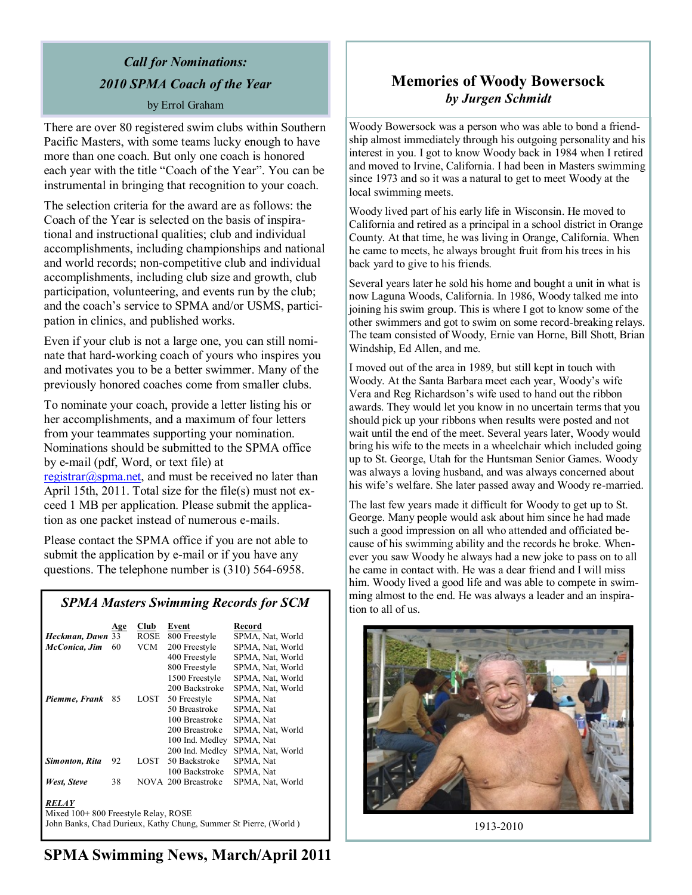# *Call for Nominations: 2010 SPMA Coach of the Year*

by Errol Graham

There are over 80 registered swim clubs within Southern Pacific Masters, with some teams lucky enough to have more than one coach. But only one coach is honored each year with the title "Coach of the Year". You can be instrumental in bringing that recognition to your coach.

The selection criteria for the award are as follows: the Coach of the Year is selected on the basis of inspirational and instructional qualities; club and individual accomplishments, including championships and national and world records; non-competitive club and individual accomplishments, including club size and growth, club participation, volunteering, and events run by the club; and the coach's service to SPMA and/or USMS, participation in clinics, and published works.

Even if your club is not a large one, you can still nominate that hard-working coach of yours who inspires you and motivates you to be a better swimmer. Many of the previously honored coaches come from smaller clubs.

To nominate your coach, provide a letter listing his or her accomplishments, and a maximum of four letters from your teammates supporting your nomination. Nominations should be submitted to the SPMA office by e-mail (pdf, Word, or text file) at [registrar@spma.net,](mailto:registrar@spma.net) and must be received no later than

April 15th, 2011. Total size for the file(s) must not exceed 1 MB per application. Please submit the application as one packet instead of numerous e-mails.

Please contact the SPMA office if you are not able to submit the application by e-mail or if you have any questions. The telephone number is (310) 564-6958.

## *SPMA Masters Swimming Records for SCM*

|                                                                  | Age | Club | Event               | Record           |  |  |
|------------------------------------------------------------------|-----|------|---------------------|------------------|--|--|
| Heckman, Dawn 33                                                 |     | ROSE | 800 Freestyle       | SPMA, Nat, World |  |  |
| McConica, Jim                                                    | 60  | VCM  | 200 Freestyle       | SPMA, Nat, World |  |  |
|                                                                  |     |      | 400 Freestyle       | SPMA, Nat, World |  |  |
|                                                                  |     |      | 800 Freestyle       | SPMA, Nat, World |  |  |
|                                                                  |     |      | 1500 Freestyle      | SPMA, Nat, World |  |  |
|                                                                  |     |      | 200 Backstroke      | SPMA, Nat, World |  |  |
| Piemme, Frank                                                    | 85  | LOST | 50 Freestyle        | SPMA, Nat        |  |  |
|                                                                  |     |      | 50 Breastroke       | SPMA, Nat        |  |  |
|                                                                  |     |      | 100 Breastroke      | SPMA, Nat        |  |  |
|                                                                  |     |      | 200 Breastroke      | SPMA, Nat, World |  |  |
|                                                                  |     |      | 100 Ind. Medley     | SPMA, Nat        |  |  |
|                                                                  |     |      | 200 Ind. Medley     | SPMA, Nat, World |  |  |
| Simonton, Rita                                                   | 92  | LOST | 50 Backstroke       | SPMA, Nat        |  |  |
|                                                                  |     |      | 100 Backstroke      | SPMA, Nat        |  |  |
| West, Steve                                                      | 38  |      | NOVA 200 Breastroke | SPMA, Nat, World |  |  |
|                                                                  |     |      |                     |                  |  |  |
| RELAY                                                            |     |      |                     |                  |  |  |
| Mixed 100+800 Freestyle Relay, ROSE                              |     |      |                     |                  |  |  |
| John Banks, Chad Durieux, Kathy Chung, Summer St Pierre, (World) |     |      |                     |                  |  |  |

# **Memories of Woody Bowersock** *by Jurgen Schmidt*

Woody Bowersock was a person who was able to bond a friendship almost immediately through his outgoing personality and his interest in you. I got to know Woody back in 1984 when I retired and moved to Irvine, California. I had been in Masters swimming since 1973 and so it was a natural to get to meet Woody at the local swimming meets.

Woody lived part of his early life in Wisconsin. He moved to California and retired as a principal in a school district in Orange County. At that time, he was living in Orange, California. When he came to meets, he always brought fruit from his trees in his back yard to give to his friends.

Several years later he sold his home and bought a unit in what is now Laguna Woods, California. In 1986, Woody talked me into joining his swim group. This is where I got to know some of the other swimmers and got to swim on some record-breaking relays. The team consisted of Woody, Ernie van Horne, Bill Shott, Brian Windship, Ed Allen, and me.

I moved out of the area in 1989, but still kept in touch with Woody. At the Santa Barbara meet each year, Woody's wife Vera and Reg Richardson's wife used to hand out the ribbon awards. They would let you know in no uncertain terms that you should pick up your ribbons when results were posted and not wait until the end of the meet. Several years later, Woody would bring his wife to the meets in a wheelchair which included going up to St. George, Utah for the Huntsman Senior Games. Woody was always a loving husband, and was always concerned about his wife's welfare. She later passed away and Woody re-married.

The last few years made it difficult for Woody to get up to St. George. Many people would ask about him since he had made such a good impression on all who attended and officiated because of his swimming ability and the records he broke. Whenever you saw Woody he always had a new joke to pass on to all he came in contact with. He was a dear friend and I will miss him. Woody lived a good life and was able to compete in swimming almost to the end. He was always a leader and an inspiration to all of us.



1913-2010

# **SPMA Swimming News, March/April 2011**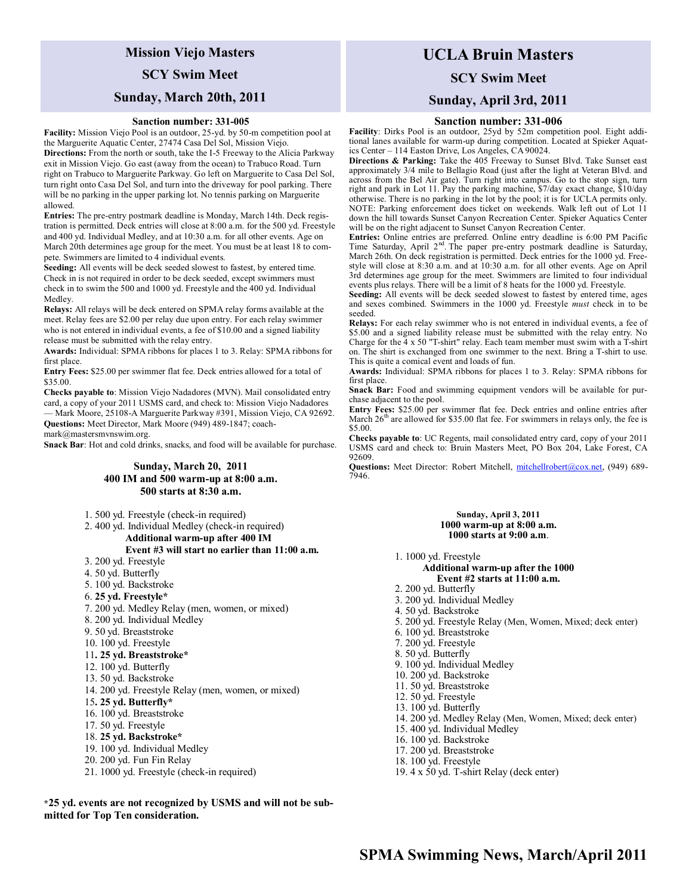# **Mission Viejo Masters**

## **SCY Swim Meet**

## **Sunday, March 20th, 2011**

#### **Sanction number: 331-005**

**Facility:** Mission Viejo Pool is an outdoor, 25-yd. by 50-m competition pool at the Marguerite Aquatic Center, 27474 Casa Del Sol, Mission Viejo.

**Directions:** From the north or south, take the I-5 Freeway to the Alicia Parkway exit in Mission Viejo. Go east (away from the ocean) to Trabuco Road. Turn right on Trabuco to Marguerite Parkway. Go left on Marguerite to Casa Del Sol, turn right onto Casa Del Sol, and turn into the driveway for pool parking. There will be no parking in the upper parking lot. No tennis parking on Marguerite allowed.

**Entries:** The pre-entry postmark deadline is Monday, March 14th. Deck registration is permitted. Deck entries will close at 8:00 a.m. for the 500 yd. Freestyle and 400 yd. Individual Medley, and at 10:30 a.m. for all other events. Age on March 20th determines age group for the meet. You must be at least 18 to compete. Swimmers are limited to 4 individual events.

**Seeding:** All events will be deck seeded slowest to fastest, by entered time. Check in is not required in order to be deck seeded, except swimmers must check in to swim the 500 and 1000 yd. Freestyle and the 400 yd. Individual Medley.

**Relays:** All relays will be deck entered on SPMA relay forms available at the meet. Relay fees are \$2.00 per relay due upon entry. For each relay swimmer who is not entered in individual events, a fee of \$10.00 and a signed liability release must be submitted with the relay entry.

**Awards:** Individual: SPMA ribbons for places 1 to 3. Relay: SPMA ribbons for first place.

**Entry Fees:** \$25.00 per swimmer flat fee. Deck entries allowed for a total of \$35.00.

**Checks payable to**: Mission Viejo Nadadores (MVN). Mail consolidated entry card, a copy of your 2011 USMS card, and check to: Mission Viejo Nadadores — Mark Moore, 25108-A Marguerite Parkway #391, Mission Viejo, CA 92692. **Questions:** Meet Director, Mark Moore (949) 489-1847; coach-

mark@mastersmvnswim.org.

**Snack Bar**: Hot and cold drinks, snacks, and food will be available for purchase.

### **Sunday, March 20, 2011 400 IM and 500 warm-up at 8:00 a.m. 500 starts at 8:30 a.m.**

- 1. 500 yd. Freestyle (check-in required)
- 2. 400 yd. Individual Medley (check-in required)

### **Additional warm-up after 400 IM**

**Event #3 will start no earlier than 11:00 a.m.**

- 3. 200 yd. Freestyle
- 4. 50 yd. Butterfly
- 5. 100 yd. Backstroke
- 6. **25 yd. Freestyle\***
- 7. 200 yd. Medley Relay (men, women, or mixed)
- 8. 200 yd. Individual Medley
- 9. 50 yd. Breaststroke
- 10. 100 yd. Freestyle

### 11**. 25 yd. Breaststroke\***

- 12. 100 yd. Butterfly
- 13. 50 yd. Backstroke
- 14. 200 yd. Freestyle Relay (men, women, or mixed)
- 15**. 25 yd. Butterfly\***
- 16. 100 yd. Breaststroke
- 17. 50 yd. Freestyle
- 18. **25 yd. Backstroke\***
- 19. 100 yd. Individual Medley
- 20. 200 yd. Fun Fin Relay
- 21. 1000 yd. Freestyle (check-in required)

# **\*25 yd. events are not recognized by USMS and will not be sub-**

### **mitted for Top Ten consideration.**

# **UCLA Bruin Masters**

### **SCY Swim Meet**

### **Sunday, April 3rd, 2011**

#### **Sanction number: 331-006**

**Facility**: Dirks Pool is an outdoor, 25yd by 52m competition pool. Eight additional lanes available for warm-up during competition. Located at Spieker Aquatics Center – 114 Easton Drive, Los Angeles, CA 90024.

**Directions & Parking:** Take the 405 Freeway to Sunset Blvd. Take Sunset east approximately 3/4 mile to Bellagio Road (just after the light at Veteran Blvd. and across from the Bel Air gate). Turn right into campus. Go to the stop sign, turn right and park in Lot 11. Pay the parking machine, \$7/day exact change, \$10/day otherwise. There is no parking in the lot by the pool; it is for UCLA permits only. NOTE: Parking enforcement does ticket on weekends. Walk left out of Lot 11 down the hill towards Sunset Canyon Recreation Center. Spieker Aquatics Center will be on the right adjacent to Sunset Canyon Recreation Center.

**Entries:** Online entries are preferred. Online entry deadline is 6:00 PM Pacific Time Saturday, April 2<sup>nd</sup>. The paper pre-entry postmark deadline is Saturday, March 26th. On deck registration is permitted. Deck entries for the 1000 yd. Freestyle will close at 8:30 a.m. and at 10:30 a.m. for all other events. Age on April 3rd determines age group for the meet. Swimmers are limited to four individual events plus relays. There will be a limit of 8 heats for the 1000 yd. Freestyle.

**Seeding:** All events will be deck seeded slowest to fastest by entered time, ages and sexes combined. Swimmers in the 1000 yd. Freestyle *must* check in to be seeded.

**Relays:** For each relay swimmer who is not entered in individual events, a fee of \$5.00 and a signed liability release must be submitted with the relay entry. No Charge for the 4 x 50 "T-shirt" relay. Each team member must swim with a T-shirt on. The shirt is exchanged from one swimmer to the next. Bring a T-shirt to use. This is quite a comical event and loads of fun.

**Awards:** Individual: SPMA ribbons for places 1 to 3. Relay: SPMA ribbons for first place.

Snack Bar: Food and swimming equipment vendors will be available for purchase adjacent to the pool.

**Entry Fees:** \$25.00 per swimmer flat fee. Deck entries and online entries after March  $26<sup>th</sup>$  are allowed for \$35.00 flat fee. For swimmers in relays only, the fee is \$5.00

**Checks payable to**: UC Regents, mail consolidated entry card, copy of your 2011 USMS card and check to: Bruin Masters Meet, PO Box 204, Lake Forest, CA 92609.

Questions: Meet Director: Robert Mitchell, [mitchellrobert@cox.net,](https://em.ucla.edu/owa/redir.aspx?C=319cd5fc5da34cef9e2f0f0fc55eb1c4&URL=mailto%3amitchellrobert%40cox.net) (949) 689-7946.

## **Sunday, April 3, 2011 1000 warm-up at 8:00 a.m.**

- **1000 starts at 9:00 a.m**. 1. 1000 yd. Freestyle **Additional warm-up after the 1000 Event #2 starts at 11:00 a.m.** 2. 200 yd. Butterfly 3. 200 yd. Individual Medley 4. 50 yd. Backstroke 5. 200 yd. Freestyle Relay (Men, Women, Mixed; deck enter) 6. 100 yd. Breaststroke 7. 200 yd. Freestyle 8. 50 yd. Butterfly 9. 100 yd. Individual Medley 10. 200 yd. Backstroke 11. 50 yd. Breaststroke 12. 50 yd. Freestyle 13. 100 yd. Butterfly 14. 200 yd. Medley Relay (Men, Women, Mixed; deck enter) 15. 400 yd. Individual Medley 16. 100 yd. Backstroke 17. 200 yd. Breaststroke 18. 100 yd. Freestyle
- 19. 4 x 50 yd. T-shirt Relay (deck enter)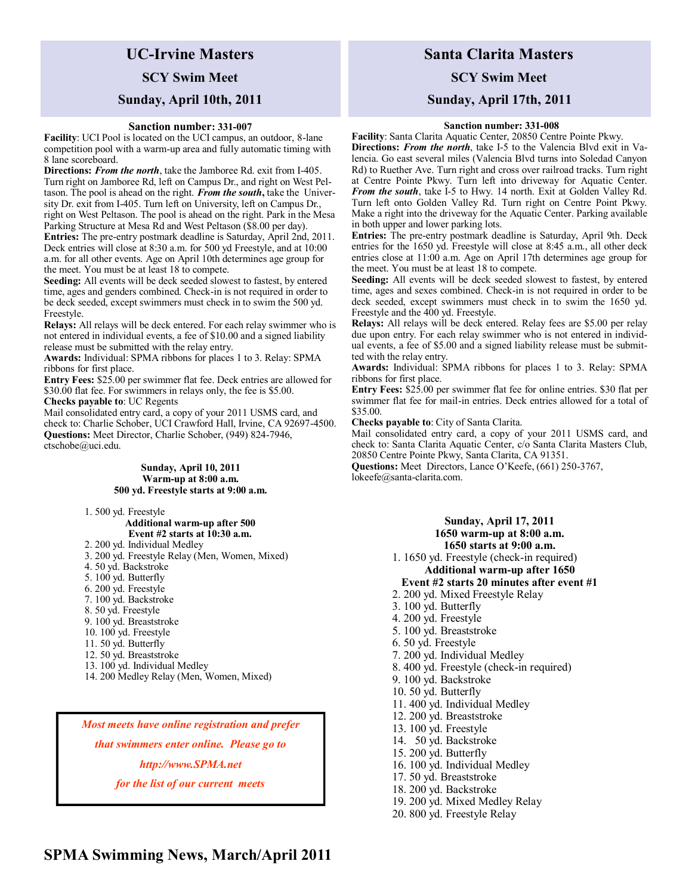# **UC-Irvine Masters SCY Swim Meet Sunday, April 10th, 2011**

#### **Sanction number: 331-007**

**Facility**: UCI Pool is located on the UCI campus, an outdoor, 8-lane competition pool with a warm-up area and fully automatic timing with 8 lane scoreboard.

**Directions:** *From the north*, take the Jamboree Rd. exit from I-405. Turn right on Jamboree Rd, left on Campus Dr., and right on West Peltason. The pool is ahead on the right. *From the south***,** take the University Dr. exit from I-405. Turn left on University, left on Campus Dr., right on West Peltason. The pool is ahead on the right. Park in the Mesa Parking Structure at Mesa Rd and West Peltason (\$8.00 per day). **Entries:** The pre-entry postmark deadline is Saturday, April 2nd, 2011. Deck entries will close at 8:30 a.m. for 500 yd Freestyle, and at 10:00 a.m. for all other events. Age on April 10th determines age group for the meet. You must be at least 18 to compete.

**Seeding:** All events will be deck seeded slowest to fastest, by entered time, ages and genders combined. Check-in is not required in order to be deck seeded, except swimmers must check in to swim the 500 yd. Freestyle.

**Relays:** All relays will be deck entered. For each relay swimmer who is not entered in individual events, a fee of \$10.00 and a signed liability release must be submitted with the relay entry.

**Awards:** Individual: SPMA ribbons for places 1 to 3. Relay: SPMA ribbons for first place.

**Entry Fees:** \$25.00 per swimmer flat fee. Deck entries are allowed for \$30.00 flat fee. For swimmers in relays only, the fee is \$5.00. **Checks payable to**: UC Regents

Mail consolidated entry card, a copy of your 2011 USMS card, and check to: Charlie Schober, UCI Crawford Hall, Irvine, CA 92697-4500. **Questions:** Meet Director, Charlie Schober, (949) 824-7946, ctschobe@uci.edu.

> **Sunday, April 10, 2011 Warm-up at 8:00 a.m. 500 yd. Freestyle starts at 9:00 a.m.**

1. 500 yd. Freestyle

## **Additional warm-up after 500 Event #2 starts at 10:30 a.m.**

- 2. 200 yd. Individual Medley
- 3. 200 yd. Freestyle Relay (Men, Women, Mixed)
- 4. 50 yd. Backstroke
- 5. 100 yd. Butterfly
- 6. 200 yd. Freestyle
- 7. 100 yd. Backstroke
- 8. 50 yd. Freestyle
- 9. 100 yd. Breaststroke
- 10. 100 yd. Freestyle
- 11. 50 yd. Butterfly
- 12. 50 yd. Breaststroke
- 13. 100 yd. Individual Medley
- 14. 200 Medley Relay (Men, Women, Mixed)

*Most meets have online registration and prefer*

*that swimmers enter online. Please go to* 

*http://www.SPMA.net* 

*for the list of our current meets* 

# **Santa Clarita Masters**

**SCY Swim Meet**

## **Sunday, April 17th, 2011**

### **Sanction number: 331-008**

**Facility**: Santa Clarita Aquatic Center, 20850 Centre Pointe Pkwy. **Directions:** *From the north*, take I-5 to the Valencia Blvd exit in Valencia. Go east several miles (Valencia Blvd turns into Soledad Canyon Rd) to Ruether Ave. Turn right and cross over railroad tracks. Turn right at Centre Pointe Pkwy. Turn left into driveway for Aquatic Center. *From the south*, take I-5 to Hwy. 14 north. Exit at Golden Valley Rd. Turn left onto Golden Valley Rd. Turn right on Centre Point Pkwy. Make a right into the driveway for the Aquatic Center. Parking available in both upper and lower parking lots.

**Entries:** The pre-entry postmark deadline is Saturday, April 9th. Deck entries for the 1650 yd. Freestyle will close at 8:45 a.m., all other deck entries close at 11:00 a.m. Age on April 17th determines age group for the meet. You must be at least 18 to compete.

**Seeding:** All events will be deck seeded slowest to fastest, by entered time, ages and sexes combined. Check-in is not required in order to be deck seeded, except swimmers must check in to swim the 1650 yd. Freestyle and the 400 yd. Freestyle.

**Relays:** All relays will be deck entered. Relay fees are \$5.00 per relay due upon entry. For each relay swimmer who is not entered in individual events, a fee of \$5.00 and a signed liability release must be submitted with the relay entry.

**Awards:** Individual: SPMA ribbons for places 1 to 3. Relay: SPMA ribbons for first place.

**Entry Fees:** \$25.00 per swimmer flat fee for online entries. \$30 flat per swimmer flat fee for mail-in entries. Deck entries allowed for a total of \$35.00.

**Checks payable to**: City of Santa Clarita.

Mail consolidated entry card, a copy of your 2011 USMS card, and check to: Santa Clarita Aquatic Center, c/o Santa Clarita Masters Club, 20850 Centre Pointe Pkwy, Santa Clarita, CA 91351. **Questions:** Meet Directors, Lance O'Keefe, (661) 250-3767,

lokeefe@santa-clarita.com.

 **Sunday, April 17, 2011 1650 warm-up at 8:00 a.m. 1650 starts at 9:00 a.m.** 1. 1650 yd. Freestyle (check-in required) **Additional warm-up after 1650 Event #2 starts 20 minutes after event #1** 2. 200 yd. Mixed Freestyle Relay 3. 100 yd. Butterfly 4. 200 yd. Freestyle 5. 100 yd. Breaststroke 6. 50 yd. Freestyle 7. 200 yd. Individual Medley 8. 400 yd. Freestyle (check-in required) 9. 100 yd. Backstroke 10. 50 yd. Butterfly 11. 400 yd. Individual Medley 12. 200 yd. Breaststroke 13. 100 yd. Freestyle 14. 50 yd. Backstroke 15. 200 yd. Butterfly 16. 100 yd. Individual Medley 17. 50 yd. Breaststroke 18. 200 yd. Backstroke 19. 200 yd. Mixed Medley Relay

20. 800 yd. Freestyle Relay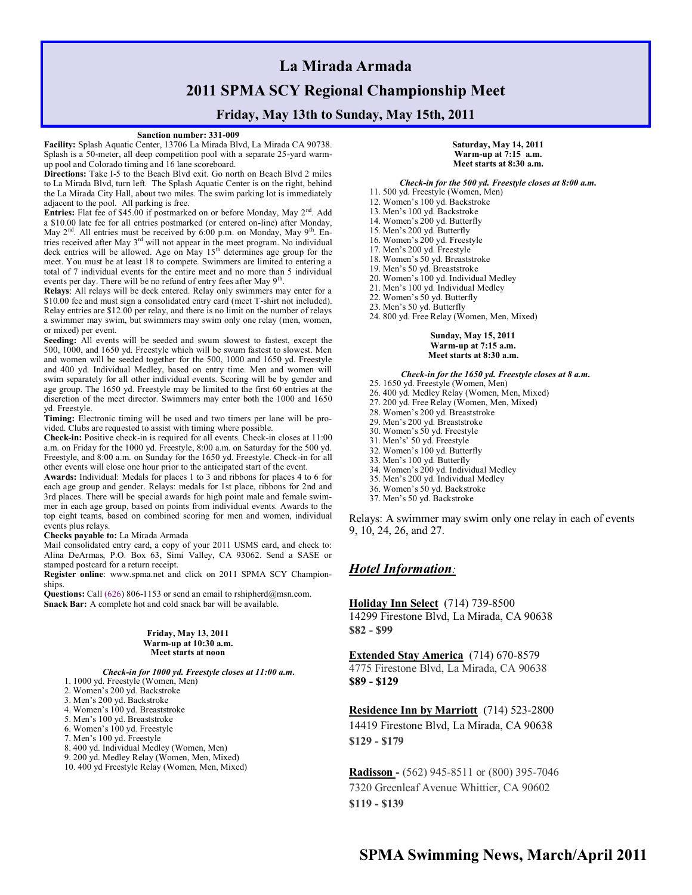# **La Mirada Armada 2011 SPMA SCY Regional Championship Meet**

## **Friday, May 13th to Sunday, May 15th, 2011**

#### **Sanction number: 331-009**

**Facility:** Splash Aquatic Center, 13706 La Mirada Blvd, La Mirada CA 90738. Splash is a 50-meter, all deep competition pool with a separate 25-yard warmup pool and Colorado timing and 16 lane scoreboard.

**Directions:** Take I-5 to the Beach Blvd exit. Go north on Beach Blvd 2 miles to La Mirada Blvd, turn left. The Splash Aquatic Center is on the right, behind the La Mirada City Hall, about two miles. The swim parking lot is immediately adjacent to the pool. All parking is free.

Entries: Flat fee of \$45.00 if postmarked on or before Monday, May 2<sup>nd</sup>. Add a \$10.00 late fee for all entries postmarked (or entered on-line) after Monday, May  $2<sup>nd</sup>$ . All entries must be received by 6:00 p.m. on Monday, May 9<sup>th</sup>. Entries received after May 3<sup>rd</sup> will not appear in the meet program. No individual deck entries will be allowed. Age on May 15<sup>th</sup> determines age group for the meet. You must be at least 18 to compete. Swimmers are limited to entering a total of 7 individual events for the entire meet and no more than 5 individual events per day. There will be no refund of entry fees after May  $9<sup>th</sup>$ .

**Relays**: All relays will be deck entered. Relay only swimmers may enter for a \$10.00 fee and must sign a consolidated entry card (meet T-shirt not included). Relay entries are \$12.00 per relay, and there is no limit on the number of relays a swimmer may swim, but swimmers may swim only one relay (men, women, or mixed) per event.

**Seeding:** All events will be seeded and swum slowest to fastest, except the 500, 1000, and 1650 yd. Freestyle which will be swum fastest to slowest. Men and women will be seeded together for the 500, 1000 and 1650 yd. Freestyle and 400 yd. Individual Medley, based on entry time. Men and women will swim separately for all other individual events. Scoring will be by gender and age group. The 1650 yd. Freestyle may be limited to the first 60 entries at the discretion of the meet director. Swimmers may enter both the 1000 and 1650 yd. Freestyle.

**Timing:** Electronic timing will be used and two timers per lane will be provided. Clubs are requested to assist with timing where possible.

**Check-in:** Positive check-in is required for all events. Check-in closes at 11:00 a.m. on Friday for the 1000 yd. Freestyle, 8:00 a.m. on Saturday for the 500 yd. Freestyle, and 8:00 a.m. on Sunday for the 1650 yd. Freestyle. Check-in for all other events will close one hour prior to the anticipated start of the event.

**Awards:** Individual: Medals for places 1 to 3 and ribbons for places 4 to 6 for each age group and gender. Relays: medals for 1st place, ribbons for 2nd and 3rd places. There will be special awards for high point male and female swimmer in each age group, based on points from individual events. Awards to the top eight teams, based on combined scoring for men and women, individual events plus relays.

#### **Checks payable to:** La Mirada Armada

Mail consolidated entry card, a copy of your 2011 USMS card, and check to: Alina DeArmas, P.O. Box 63, Simi Valley, CA 93062. Send a SASE or stamped postcard for a return receipt.

**Register online**: www.spma.net and click on 2011 SPMA SCY Championships.

Questions: Call (626) 806-1153 or send an email to rshipherd@msn.com. **Snack Bar:** A complete hot and cold snack bar will be available.

#### **Friday, May 13, 2011 Warm-up at 10:30 a.m. Meet starts at noon**

 *Check-in for 1000 yd. Freestyle closes at 11:00 a.m.* 1. 1000 yd. Freestyle (Women, Men)

2. Women's 200 yd. Backstroke

3. Men's 200 yd. Backstroke

4. Women's 100 yd. Breaststroke

5. Men's 100 yd. Breaststroke

6. Women's 100 yd. Freestyle

7. Men's 100 yd. Freestyle

8. 400 yd. Individual Medley (Women, Men)

9. 200 yd. Medley Relay (Women, Men, Mixed)

10. 400 yd Freestyle Relay (Women, Men, Mixed)

#### **Saturday, May 14, 2011 Warm-up at 7:15 a.m. Meet starts at 8:30 a.m.**

#### *Check-in for the 500 yd. Freestyle closes at 8:00 a.m.*

- 11. 500 yd. Freestyle (Women, Men)
- 12. Women's 100 yd. Backstroke
- 13. Men's 100 yd. Backstroke
- 14. Women's 200 yd. Butterfly
- 15. Men's 200 yd. Butterfly
- 16. Women's 200 yd. Freestyle
- 17. Men's 200 yd. Freestyle
- 18. Women's 50 yd. Breaststroke
- 19. Men's 50 yd. Breaststroke
- 20. Women's 100 yd. Individual Medley
- 21. Men's 100 yd. Individual Medley
- 22. Women's 50 yd. Butterfly
- 23. Men's 50 yd. Butterfly 24. 800 yd. Free Relay (Women, Men, Mixed)

**Sunday, May 15, 2011 Warm-up at 7:15 a.m. Meet starts at 8:30 a.m.**

### *Check-in for the 1650 yd. Freestyle closes at 8 a.m.*

- 25. 1650 yd. Freestyle (Women, Men)
- 26. 400 yd. Medley Relay (Women, Men, Mixed)
- 27. 200 yd. Free Relay (Women, Men, Mixed)
- 28. Women's 200 yd. Breaststroke
- 29. Men's 200 yd. Breaststroke
- 30. Women's 50 yd. Freestyle
- 31. Men's' 50 yd. Freestyle 32. Women's 100 yd. Butterfly
- 33. Men's 100 yd. Butterfly
- 34. Women's 200 yd. Individual Medley
- 35. Men's 200 yd. Individual Medley
- 36. Women's 50 yd. Backstroke
- 37. Men's 50 yd. Backstroke

Relays: A swimmer may swim only one relay in each of events 9, 10, 24, 26, and 27.

## *Hotel Information:*

**[Holiday Inn Select](http://reservations.hotel-guides.us/hotel/10006044-10222991O.html)** (714) 739-8500 14299 Firestone Blvd, La Mirada, CA 90638

**\$82 - \$99**

**[Extended Stay America](http://reservations.hotel-guides.us/hotel/10006044-10000629O.html)** (714) 670-8579 4775 Firestone Blvd, La Mirada, CA 90638 **\$89 - \$129** 

### **[Residence Inn by Marriott](http://reservations.hotel-guides.us/hotel/10006044-10210198O.html)** (714) 523-2800

14419 Firestone Blvd, La Mirada, CA 90638 **\$129 - \$179**

**Radisson -** (562) 945-8511 or (800) 395-7046 7320 Greenleaf Avenue Whittier, CA 90602 **\$119 - \$139**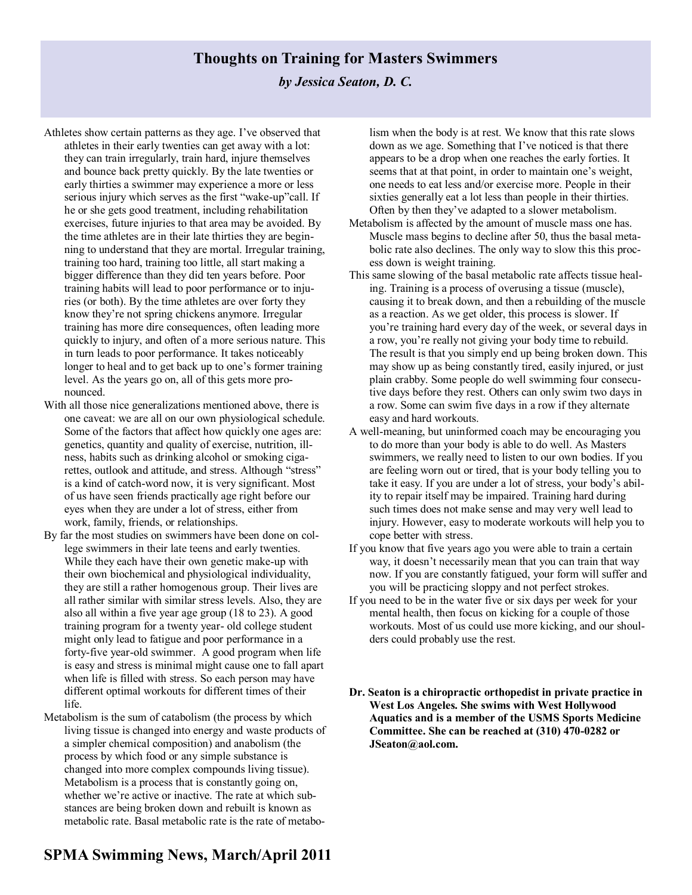## **Thoughts on Training for Masters Swimmers**

## *by Jessica Seaton, D. C.*

- Athletes show certain patterns as they age. I've observed that athletes in their early twenties can get away with a lot: they can train irregularly, train hard, injure themselves and bounce back pretty quickly. By the late twenties or early thirties a swimmer may experience a more or less serious injury which serves as the first "wake-up"call. If he or she gets good treatment, including rehabilitation exercises, future injuries to that area may be avoided. By the time athletes are in their late thirties they are beginning to understand that they are mortal. Irregular training, training too hard, training too little, all start making a bigger difference than they did ten years before. Poor training habits will lead to poor performance or to injuries (or both). By the time athletes are over forty they know they're not spring chickens anymore. Irregular training has more dire consequences, often leading more quickly to injury, and often of a more serious nature. This in turn leads to poor performance. It takes noticeably longer to heal and to get back up to one's former training level. As the years go on, all of this gets more pronounced.
- With all those nice generalizations mentioned above, there is one caveat: we are all on our own physiological schedule. Some of the factors that affect how quickly one ages are: genetics, quantity and quality of exercise, nutrition, illness, habits such as drinking alcohol or smoking cigarettes, outlook and attitude, and stress. Although "stress" is a kind of catch-word now, it is very significant. Most of us have seen friends practically age right before our eyes when they are under a lot of stress, either from work, family, friends, or relationships.
- By far the most studies on swimmers have been done on college swimmers in their late teens and early twenties. While they each have their own genetic make-up with their own biochemical and physiological individuality, they are still a rather homogenous group. Their lives are all rather similar with similar stress levels. Also, they are also all within a five year age group (18 to 23). A good training program for a twenty year- old college student might only lead to fatigue and poor performance in a forty-five year-old swimmer. A good program when life is easy and stress is minimal might cause one to fall apart when life is filled with stress. So each person may have different optimal workouts for different times of their life.
- Metabolism is the sum of catabolism (the process by which living tissue is changed into energy and waste products of a simpler chemical composition) and anabolism (the process by which food or any simple substance is changed into more complex compounds living tissue). Metabolism is a process that is constantly going on, whether we're active or inactive. The rate at which substances are being broken down and rebuilt is known as metabolic rate. Basal metabolic rate is the rate of metabo-

# **SPMA Swimming News, March/April 2011**

lism when the body is at rest. We know that this rate slows down as we age. Something that I've noticed is that there appears to be a drop when one reaches the early forties. It seems that at that point, in order to maintain one's weight, one needs to eat less and/or exercise more. People in their sixties generally eat a lot less than people in their thirties. Often by then they've adapted to a slower metabolism.

- Metabolism is affected by the amount of muscle mass one has. Muscle mass begins to decline after 50, thus the basal metabolic rate also declines. The only way to slow this this process down is weight training.
- This same slowing of the basal metabolic rate affects tissue healing. Training is a process of overusing a tissue (muscle), causing it to break down, and then a rebuilding of the muscle as a reaction. As we get older, this process is slower. If you're training hard every day of the week, or several days in a row, you're really not giving your body time to rebuild. The result is that you simply end up being broken down. This may show up as being constantly tired, easily injured, or just plain crabby. Some people do well swimming four consecutive days before they rest. Others can only swim two days in a row. Some can swim five days in a row if they alternate easy and hard workouts.
- A well-meaning, but uninformed coach may be encouraging you to do more than your body is able to do well. As Masters swimmers, we really need to listen to our own bodies. If you are feeling worn out or tired, that is your body telling you to take it easy. If you are under a lot of stress, your body's ability to repair itself may be impaired. Training hard during such times does not make sense and may very well lead to injury. However, easy to moderate workouts will help you to cope better with stress.
- If you know that five years ago you were able to train a certain way, it doesn't necessarily mean that you can train that way now. If you are constantly fatigued, your form will suffer and you will be practicing sloppy and not perfect strokes.
- If you need to be in the water five or six days per week for your mental health, then focus on kicking for a couple of those workouts. Most of us could use more kicking, and our shoulders could probably use the rest.
- **Dr. Seaton is a chiropractic orthopedist in private practice in West Los Angeles. She swims with West Hollywood Aquatics and is a member of the USMS Sports Medicine Committee. She can be reached at (310) 470-0282 or JSeaton@aol.com.**